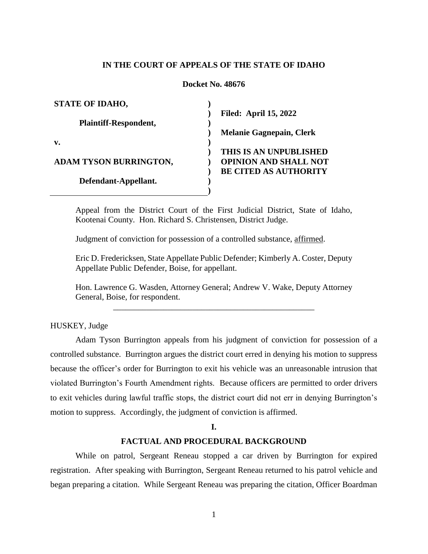# **IN THE COURT OF APPEALS OF THE STATE OF IDAHO**

#### **Docket No. 48676**

| <b>STATE OF IDAHO,</b>        |                                 |
|-------------------------------|---------------------------------|
|                               | <b>Filed: April 15, 2022</b>    |
| <b>Plaintiff-Respondent,</b>  |                                 |
|                               | <b>Melanie Gagnepain, Clerk</b> |
| v.                            |                                 |
|                               | THIS IS AN UNPUBLISHED          |
| <b>ADAM TYSON BURRINGTON,</b> | <b>OPINION AND SHALL NOT</b>    |
|                               | <b>BE CITED AS AUTHORITY</b>    |
| Defendant-Appellant.          |                                 |
|                               |                                 |

Appeal from the District Court of the First Judicial District, State of Idaho, Kootenai County. Hon. Richard S. Christensen, District Judge.

Judgment of conviction for possession of a controlled substance, affirmed.

Eric D. Fredericksen, State Appellate Public Defender; Kimberly A. Coster, Deputy Appellate Public Defender, Boise, for appellant.

Hon. Lawrence G. Wasden, Attorney General; Andrew V. Wake, Deputy Attorney General, Boise, for respondent. \_\_\_\_\_\_\_\_\_\_\_\_\_\_\_\_\_\_\_\_\_\_\_\_\_\_\_\_\_\_\_\_\_\_\_\_\_\_\_\_\_\_\_\_\_\_\_\_

HUSKEY, Judge

Adam Tyson Burrington appeals from his judgment of conviction for possession of a controlled substance. Burrington argues the district court erred in denying his motion to suppress because the officer's order for Burrington to exit his vehicle was an unreasonable intrusion that violated Burrington's Fourth Amendment rights. Because officers are permitted to order drivers to exit vehicles during lawful traffic stops, the district court did not err in denying Burrington's motion to suppress. Accordingly, the judgment of conviction is affirmed.

**I.**

## **FACTUAL AND PROCEDURAL BACKGROUND**

While on patrol, Sergeant Reneau stopped a car driven by Burrington for expired registration. After speaking with Burrington, Sergeant Reneau returned to his patrol vehicle and began preparing a citation. While Sergeant Reneau was preparing the citation, Officer Boardman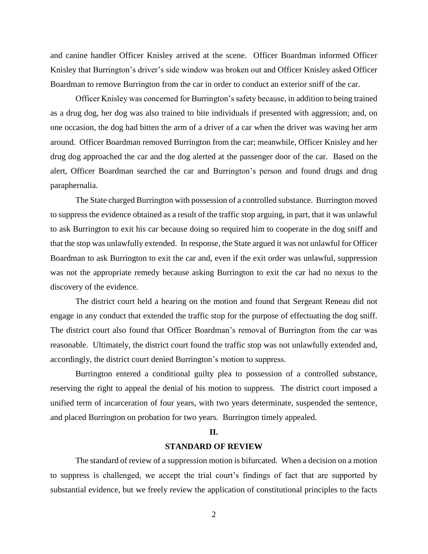and canine handler Officer Knisley arrived at the scene. Officer Boardman informed Officer Knisley that Burrington's driver's side window was broken out and Officer Knisley asked Officer Boardman to remove Burrington from the car in order to conduct an exterior sniff of the car.

Officer Knisley was concerned for Burrington's safety because, in addition to being trained as a drug dog, her dog was also trained to bite individuals if presented with aggression; and, on one occasion, the dog had bitten the arm of a driver of a car when the driver was waving her arm around. Officer Boardman removed Burrington from the car; meanwhile, Officer Knisley and her drug dog approached the car and the dog alerted at the passenger door of the car. Based on the alert, Officer Boardman searched the car and Burrington's person and found drugs and drug paraphernalia.

The State charged Burrington with possession of a controlled substance. Burrington moved to suppress the evidence obtained as a result of the traffic stop arguing, in part, that it was unlawful to ask Burrington to exit his car because doing so required him to cooperate in the dog sniff and that the stop was unlawfully extended. In response, the State argued it was not unlawful for Officer Boardman to ask Burrington to exit the car and, even if the exit order was unlawful, suppression was not the appropriate remedy because asking Burrington to exit the car had no nexus to the discovery of the evidence.

The district court held a hearing on the motion and found that Sergeant Reneau did not engage in any conduct that extended the traffic stop for the purpose of effectuating the dog sniff. The district court also found that Officer Boardman's removal of Burrington from the car was reasonable. Ultimately, the district court found the traffic stop was not unlawfully extended and, accordingly, the district court denied Burrington's motion to suppress.

Burrington entered a conditional guilty plea to possession of a controlled substance, reserving the right to appeal the denial of his motion to suppress. The district court imposed a unified term of incarceration of four years, with two years determinate, suspended the sentence, and placed Burrington on probation for two years. Burrington timely appealed.

# **II.**

# **STANDARD OF REVIEW**

The standard of review of a suppression motion is bifurcated. When a decision on a motion to suppress is challenged, we accept the trial court's findings of fact that are supported by substantial evidence, but we freely review the application of constitutional principles to the facts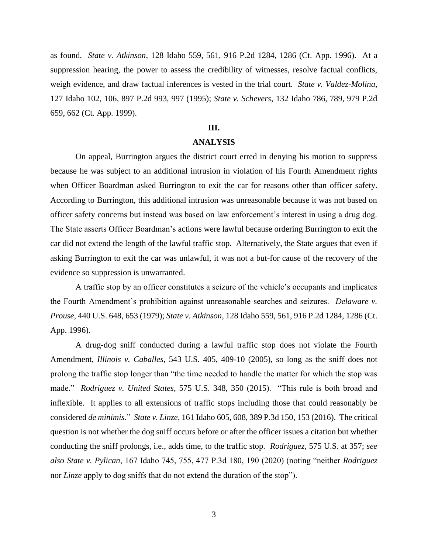as found. *State v. Atkinson*, 128 Idaho 559, 561, 916 P.2d 1284, 1286 (Ct. App. 1996). At a suppression hearing, the power to assess the credibility of witnesses, resolve factual conflicts, weigh evidence, and draw factual inferences is vested in the trial court. *State v. Valdez-Molina*, 127 Idaho 102, 106, 897 P.2d 993, 997 (1995); *State v. Schevers*, 132 Idaho 786, 789, 979 P.2d 659, 662 (Ct. App. 1999).

## **III.**

### **ANALYSIS**

On appeal, Burrington argues the district court erred in denying his motion to suppress because he was subject to an additional intrusion in violation of his Fourth Amendment rights when Officer Boardman asked Burrington to exit the car for reasons other than officer safety. According to Burrington, this additional intrusion was unreasonable because it was not based on officer safety concerns but instead was based on law enforcement's interest in using a drug dog. The State asserts Officer Boardman's actions were lawful because ordering Burrington to exit the car did not extend the length of the lawful traffic stop. Alternatively, the State argues that even if asking Burrington to exit the car was unlawful, it was not a but-for cause of the recovery of the evidence so suppression is unwarranted.

A traffic stop by an officer constitutes a seizure of the vehicle's occupants and implicates the Fourth Amendment's prohibition against unreasonable searches and seizures. *Delaware v. Prouse*, 440 U.S. 648, 653 (1979); *State v. Atkinson*, 128 Idaho 559, 561, 916 P.2d 1284, 1286 (Ct. App. 1996).

A drug-dog sniff conducted during a lawful traffic stop does not violate the Fourth Amendment, *Illinois v. Caballes*, 543 U.S. 405, 409-10 (2005), so long as the sniff does not prolong the traffic stop longer than "the time needed to handle the matter for which the stop was made." *Rodriguez v. United States*, 575 U.S. 348, 350 (2015). "This rule is both broad and inflexible. It applies to all extensions of traffic stops including those that could reasonably be considered *de minimis*." *State v. Linze*, 161 Idaho 605, 608, 389 P.3d 150, 153 (2016). The critical question is not whether the dog sniff occurs before or after the officer issues a citation but whether conducting the sniff prolongs, i.e., adds time, to the traffic stop. *Rodriguez*, 575 U.S. at 357; *see also State v. Pylican*, 167 Idaho 745, 755, 477 P.3d 180, 190 (2020) (noting "neither *Rodriguez* nor *Linze* apply to dog sniffs that do not extend the duration of the stop").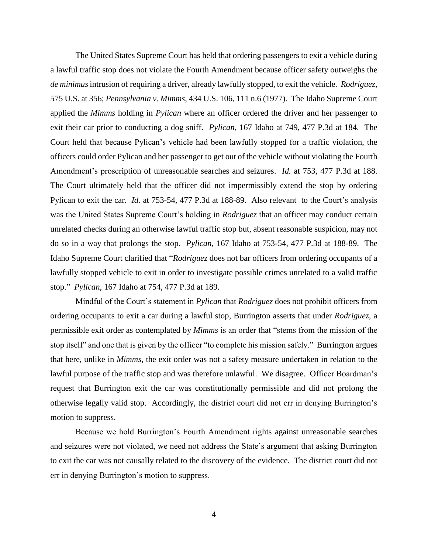The United States Supreme Court has held that ordering passengers to exit a vehicle during a lawful traffic stop does not violate the Fourth Amendment because officer safety outweighs the *de minimus*intrusion of requiring a driver, already lawfully stopped, to exit the vehicle. *Rodriguez*, 575 U.S. at 356; *Pennsylvania v. Mimms*, 434 U.S. 106, 111 n.6 (1977). The Idaho Supreme Court applied the *Mimms* holding in *Pylican* where an officer ordered the driver and her passenger to exit their car prior to conducting a dog sniff. *Pylican*, 167 Idaho at 749, 477 P.3d at 184. The Court held that because Pylican's vehicle had been lawfully stopped for a traffic violation, the officers could order Pylican and her passenger to get out of the vehicle without violating the Fourth Amendment's proscription of unreasonable searches and seizures. *Id.* at 753, 477 P.3d at 188. The Court ultimately held that the officer did not impermissibly extend the stop by ordering Pylican to exit the car*. Id.* at 753-54, 477 P.3d at 188-89. Also relevant to the Court's analysis was the United States Supreme Court's holding in *Rodriguez* that an officer may conduct certain unrelated checks during an otherwise lawful traffic stop but, absent reasonable suspicion, may not do so in a way that prolongs the stop. *Pylican*, 167 Idaho at 753-54, 477 P.3d at 188-89. The Idaho Supreme Court clarified that "*Rodriguez* does not bar officers from ordering occupants of a lawfully stopped vehicle to exit in order to investigate possible crimes unrelated to a valid traffic stop." *Pylican*, 167 Idaho at 754, 477 P.3d at 189.

Mindful of the Court's statement in *Pylican* that *Rodriguez* does not prohibit officers from ordering occupants to exit a car during a lawful stop, Burrington asserts that under *Rodriguez*, a permissible exit order as contemplated by *Mimms* is an order that "stems from the mission of the stop itself" and one that is given by the officer "to complete his mission safely." Burrington argues that here, unlike in *Mimms*, the exit order was not a safety measure undertaken in relation to the lawful purpose of the traffic stop and was therefore unlawful. We disagree. Officer Boardman's request that Burrington exit the car was constitutionally permissible and did not prolong the otherwise legally valid stop. Accordingly, the district court did not err in denying Burrington's motion to suppress.

Because we hold Burrington's Fourth Amendment rights against unreasonable searches and seizures were not violated, we need not address the State's argument that asking Burrington to exit the car was not causally related to the discovery of the evidence. The district court did not err in denying Burrington's motion to suppress.